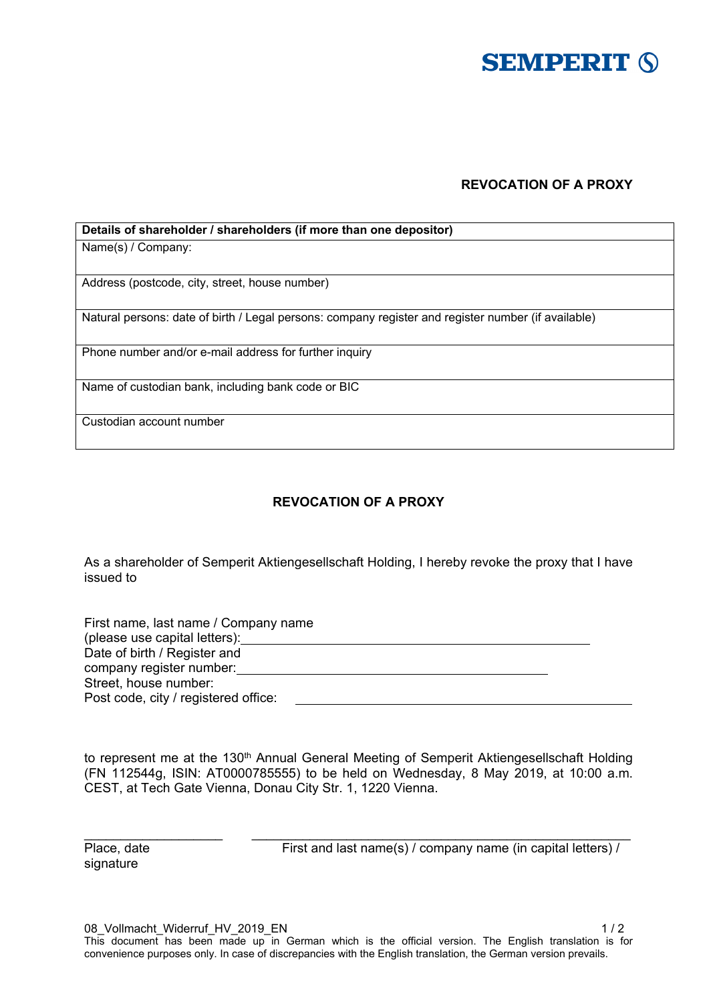

## **REVOCATION OF A PROXY**

| Details of shareholder / shareholders (if more than one depositor)                                  |
|-----------------------------------------------------------------------------------------------------|
| Name(s) / Company:                                                                                  |
|                                                                                                     |
| Address (postcode, city, street, house number)                                                      |
| Natural persons: date of birth / Legal persons: company register and register number (if available) |
| Phone number and/or e-mail address for further inquiry                                              |
| Name of custodian bank, including bank code or BIC                                                  |
| Custodian account number                                                                            |

## **REVOCATION OF A PROXY**

As a shareholder of Semperit Aktiengesellschaft Holding, I hereby revoke the proxy that I have issued to

| First name, last name / Company name |  |
|--------------------------------------|--|
| (please use capital letters):        |  |
| Date of birth / Register and         |  |
| company register number:             |  |
| Street, house number:                |  |
| Post code, city / registered office: |  |

to represent me at the 130<sup>th</sup> Annual General Meeting of Semperit Aktiengesellschaft Holding (FN 112544g, ISIN: AT0000785555) to be held on Wednesday, 8 May 2019, at 10:00 a.m. CEST, at Tech Gate Vienna, Donau City Str. 1, 1220 Vienna.

 $\_$  , and the set of the set of the set of the set of the set of the set of the set of the set of the set of the set of the set of the set of the set of the set of the set of the set of the set of the set of the set of th

signature

Place, date First and last name(s) / company name (in capital letters) /